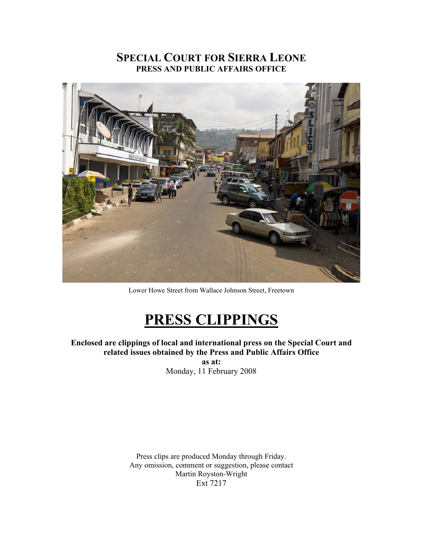## **SPECIAL COURT FOR SIERRA LEONE PRESS AND PUBLIC AFFAIRS OFFICE**



Lower Howe Street from Wallace Johnson Street, Freetown

# **PRESS CLIPPINGS**

**Enclosed are clippings of local and international press on the Special Court and related issues obtained by the Press and Public Affairs Office** 

**as at:**  Monday, 11 February 2008

Press clips are produced Monday through Friday. Any omission, comment or suggestion, please contact Martin Royston-Wright Ext 7217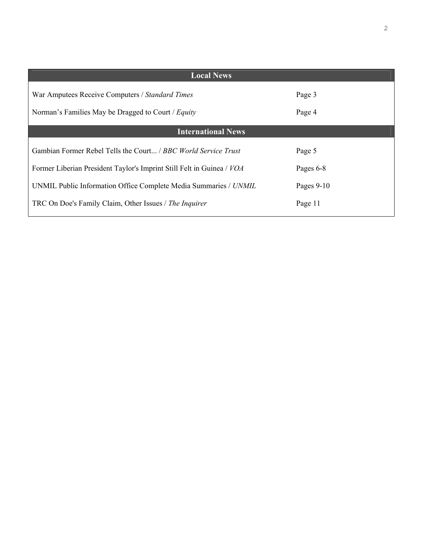| <b>Local News</b>                                                     |              |
|-----------------------------------------------------------------------|--------------|
| War Amputees Receive Computers / Standard Times                       | Page 3       |
| Norman's Families May be Dragged to Court / Equity                    | Page 4       |
| <b>International News</b>                                             |              |
| Gambian Former Rebel Tells the Court <i>BBC World Service Trust</i>   | Page 5       |
| Former Liberian President Taylor's Imprint Still Felt in Guinea / VOA | Pages 6-8    |
| UNMIL Public Information Office Complete Media Summaries / UNMIL      | Pages $9-10$ |
| TRC On Doe's Family Claim, Other Issues / The Inquirer                | Page 11      |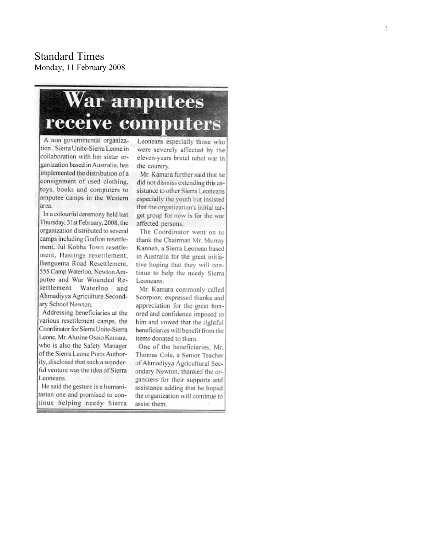**Standard Times** Monday, 11 February 2008

# War amputees receive computers

A non governmental organization, Sierra Unite-Sierra Leone in collaboration with her sister organization based in Australia, has implemented the distribution of a consignment of used clothing, toys, books and computers to amputee camps in the Western area.

In a colourful ceremony held last Thursday, 31st February, 2008, the organization distributed to several camps including Grafton resettlement, Jui Kobba Town resettlement, Hastings resettlement. Benguema Road Resettlement, 555 Camp Waterloo, Newton Amputee and War Wounded Resettlement Waterloo and Ahmadiyya Agriculture Secondary School Newton.

Addressing beneficiaries at the various resettlement camps, the Coordinator for Sierra Unite-Sierra Leone, Mr. Alusine Osaio Kamara, who is also the Safety Manager of the Sierra Leone Ports Authority, disclosed that such a wonderful venture was the idea of Sierra Leoneans.

He said the gesture is a humanitarian one and promised to continue helping needy Sierra

Leoneans especially those who were severely affected by the eleven-years brutal rebel war in the country.

Mr. Kamara further said that he did not dismiss extending this assistance to other Sierra Leoneans especially the youth but insisted that the organization's initial target group for now is for the war affected persons.

The Coordinator went on to thank the Chairman Mr. Murray Kanneh, a Sierra Leonean based in Australia for the great initiative hoping that they will continue to help the needy Sierra Leoneans.

Mr. Kamara commonly called Scorpion; expressed thanks and appreciation for the great honored and confidence imposed to him and vowed that the rightful beneficiaries will benefit from the items donated to them.

One of the beneficiaries, Mr. Thomas Cole, a Senior Teacher of Ahmadiyya Agricultural Secondary Newton, thanked the organizers for their supports and assistance adding that he hoped the organization will continue to assist them.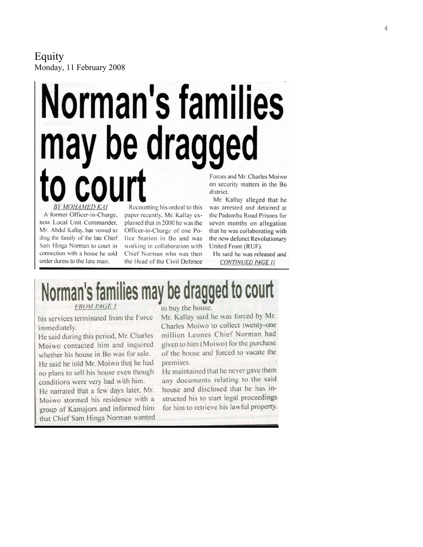#### Equity Monday, 11 February 2008

# Norman's families be dragged Forces and Mr. Charles Moiwo district.

BY MOHAMED KAI A former Officer-in-Charge, now Local Unit Commander, Mr. Abdul Kallay, has vowed to drag the family of the late Chief. Sain Hinga Norman to court in connection with a house he sold under duress to the late man.

Recounting his ordeal to this paper recently, Mr. Kallay explained that in 2000 he was the Officer-in-Charge of one Police Station in Bo and was working in collaboration with Chief Norman who was then the Head of the Civil Defence on security matters in the Bo

Mr. Kallay alleged that he was arrested and detained at the Pademba Road Prisons for seven months on allegation that he was collaborating with the now defunct Revolutionary United Front (RUF).

He said he was released and CONTINUED PAGE 11

# Norman's families may be dragged to court

**FROM PAGE 1** 

his services terminated from the Force immediately.

He said during this period, Mr. Charles Moiwo contacted him and inquired whether his house in Bo was for sale. He said he told Mr. Moiwo that he had no plans to sell his house even though conditions were very bad with him. He narrated that a few days later. Mr.

Moiwo stormed his residence with a group of Kamajors and informed him that Chief Sam Hinga Norman wanted to buy the house.

Mr. Kallay said he was forced by Mr. Charles Moiwo to collect twenty-one million Leones Chief Norman had given to him (Moiwo) for the purchase of the house and forced to vacate the premises.

He maintained that he never gave them any documents relating to the said house and disclosed that he has instructed his to start legal proceedingsfor him to retrieve his lawful property.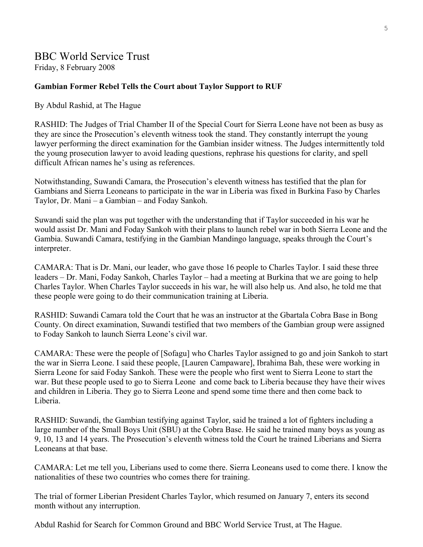# BBC World Service Trust

Friday, 8 February 2008

#### **Gambian Former Rebel Tells the Court about Taylor Support to RUF**

By Abdul Rashid, at The Hague

RASHID: The Judges of Trial Chamber II of the Special Court for Sierra Leone have not been as busy as they are since the Prosecution's eleventh witness took the stand. They constantly interrupt the young lawyer performing the direct examination for the Gambian insider witness. The Judges intermittently told the young prosecution lawyer to avoid leading questions, rephrase his questions for clarity, and spell difficult African names he's using as references.

Notwithstanding, Suwandi Camara, the Prosecution's eleventh witness has testified that the plan for Gambians and Sierra Leoneans to participate in the war in Liberia was fixed in Burkina Faso by Charles Taylor, Dr. Mani – a Gambian – and Foday Sankoh.

Suwandi said the plan was put together with the understanding that if Taylor succeeded in his war he would assist Dr. Mani and Foday Sankoh with their plans to launch rebel war in both Sierra Leone and the Gambia. Suwandi Camara, testifying in the Gambian Mandingo language, speaks through the Court's interpreter.

CAMARA: That is Dr. Mani, our leader, who gave those 16 people to Charles Taylor. I said these three leaders – Dr. Mani, Foday Sankoh, Charles Taylor – had a meeting at Burkina that we are going to help Charles Taylor. When Charles Taylor succeeds in his war, he will also help us. And also, he told me that these people were going to do their communication training at Liberia.

RASHID: Suwandi Camara told the Court that he was an instructor at the Gbartala Cobra Base in Bong County. On direct examination, Suwandi testified that two members of the Gambian group were assigned to Foday Sankoh to launch Sierra Leone's civil war.

CAMARA: These were the people of [Sofagu] who Charles Taylor assigned to go and join Sankoh to start the war in Sierra Leone. I said these people, [Lauren Campaware], Ibrahima Bah, these were working in Sierra Leone for said Foday Sankoh. These were the people who first went to Sierra Leone to start the war. But these people used to go to Sierra Leone and come back to Liberia because they have their wives and children in Liberia. They go to Sierra Leone and spend some time there and then come back to Liberia.

RASHID: Suwandi, the Gambian testifying against Taylor, said he trained a lot of fighters including a large number of the Small Boys Unit (SBU) at the Cobra Base. He said he trained many boys as young as 9, 10, 13 and 14 years. The Prosecution's eleventh witness told the Court he trained Liberians and Sierra Leoneans at that base.

CAMARA: Let me tell you, Liberians used to come there. Sierra Leoneans used to come there. I know the nationalities of these two countries who comes there for training.

The trial of former Liberian President Charles Taylor, which resumed on January 7, enters its second month without any interruption.

Abdul Rashid for Search for Common Ground and BBC World Service Trust, at The Hague.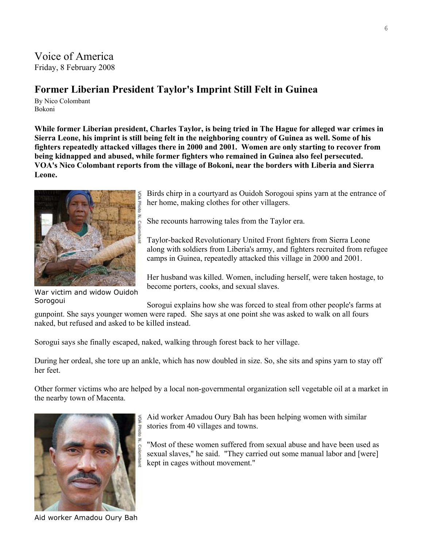## Voice of America Friday, 8 February 2008

## **Former Liberian President Taylor's Imprint Still Felt in Guinea**

By Nico Colombant Bokoni

**While former Liberian president, Charles Taylor, is being tried in The Hague for alleged war crimes in Sierra Leone, his imprint is still being felt in the neighboring country of Guinea as well. Some of his fighters repeatedly attacked villages there in 2000 and 2001. Women are only starting to recover from being kidnapped and abused, while former fighters who remained in Guinea also feel persecuted. VOA's Nico Colombant reports from the village of Bokoni, near the borders with Liberia and Sierra Leone.**



War victim and widow Ouidoh Sorogoui

Birds chirp in a courtyard as Ouidoh Sorogoui spins yarn at the entrance of her home, making clothes for other villagers.

She recounts harrowing tales from the Taylor era.

Taylor-backed Revolutionary United Front fighters from Sierra Leone along with soldiers from Liberia's army, and fighters recruited from refugee camps in Guinea, repeatedly attacked this village in 2000 and 2001.

Her husband was killed. Women, including herself, were taken hostage, to become porters, cooks, and sexual slaves.

Sorogui explains how she was forced to steal from other people's farms at gunpoint. She says younger women were raped. She says at one point she was asked to walk on all fours naked, but refused and asked to be killed instead.

Sorogui says she finally escaped, naked, walking through forest back to her village.

During her ordeal, she tore up an ankle, which has now doubled in size. So, she sits and spins yarn to stay off her feet.

Other former victims who are helped by a local non-governmental organization sell vegetable oil at a market in the nearby town of Macenta.



Aid worker Amadou Oury Bah

Aid worker Amadou Oury Bah has been helping women with similar stories from 40 villages and towns.

"Most of these women suffered from sexual abuse and have been used as sexual slaves," he said. "They carried out some manual labor and [were] kept in cages without movement."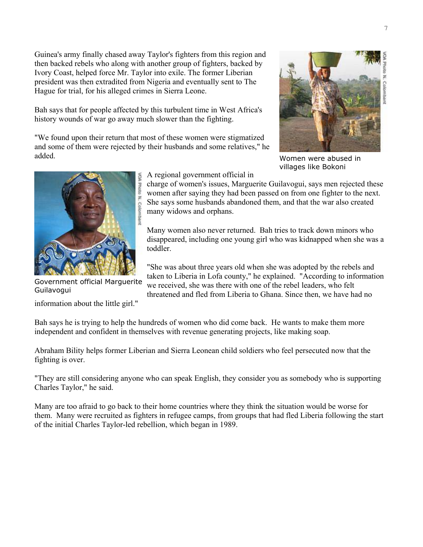Guinea's army finally chased away Taylor's fighters from this region and then backed rebels who along with another group of fighters, backed by Ivory Coast, helped force Mr. Taylor into exile. The former Liberian president was then extradited from Nigeria and eventually sent to The Hague for trial, for his alleged crimes in Sierra Leone.

Bah says that for people affected by this turbulent time in West Africa's history wounds of war go away much slower than the fighting.

"We found upon their return that most of these women were stigmatized and some of them were rejected by their husbands and some relatives," he added.



Women were abused in villages like Bokoni



Government official Marguerite Guilavogui

information about the little girl."

A regional government official in

charge of women's issues, Marguerite Guilavogui, says men rejected these women after saying they had been passed on from one fighter to the next. She says some husbands abandoned them, and that the war also created many widows and orphans.

Many women also never returned. Bah tries to track down minors who disappeared, including one young girl who was kidnapped when she was a toddler.

"She was about three years old when she was adopted by the rebels and taken to Liberia in Lofa county," he explained. "According to information we received, she was there with one of the rebel leaders, who felt threatened and fled from Liberia to Ghana. Since then, we have had no

Bah says he is trying to help the hundreds of women who did come back. He wants to make them more independent and confident in themselves with revenue generating projects, like making soap.

Abraham Bility helps former Liberian and Sierra Leonean child soldiers who feel persecuted now that the fighting is over.

"They are still considering anyone who can speak English, they consider you as somebody who is supporting Charles Taylor," he said.

Many are too afraid to go back to their home countries where they think the situation would be worse for them. Many were recruited as fighters in refugee camps, from groups that had fled Liberia following the start of the initial Charles Taylor-led rebellion, which began in 1989.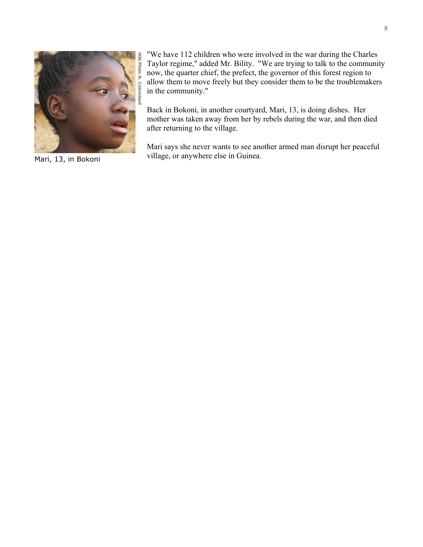

Mari, 13, in Bokoni

"We have 112 children who were involved in the war during the Charles Taylor regime," added Mr. Bility. "We are trying to talk to the community now, the quarter chief, the prefect, the governor of this forest region to allow them to move freely but they consider them to be the troublemakers in the community."

Back in Bokoni, in another courtyard, Mari, 13, is doing dishes. Her mother was taken away from her by rebels during the war, and then died after returning to the village.

Mari says she never wants to see another armed man disrupt her peaceful village, or anywhere else in Guinea.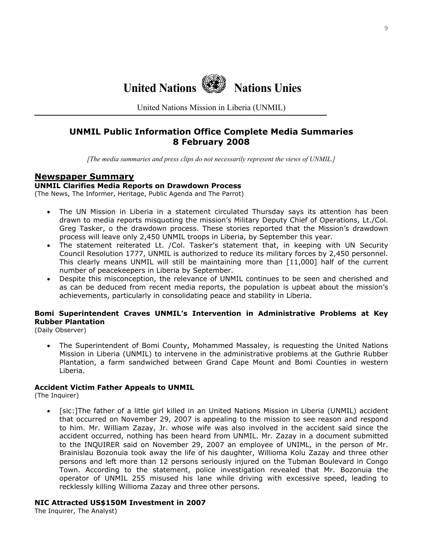**United Nations Nations Unies**

United Nations Mission in Liberia (UNMIL)

## **UNMIL Public Information Office Complete Media Summaries 8 February 2008**

*[The media summaries and press clips do not necessarily represent the views of UNMIL.]*

#### **Newspaper Summary**

#### **UNMIL Clarifies Media Reports on Drawdown Process**

(The News, The Informer, Heritage, Public Agenda and The Parrot)

- The UN Mission in Liberia in a statement circulated Thursday says its attention has been drawn to media reports misquoting the mission's Military Deputy Chief of Operations, Lt./Col. Greg Tasker, o the drawdown process. These stories reported that the Mission's drawdown process will leave only 2,450 UNMIL troops in Liberia, by September this year.
- The statement reiterated Lt. /Col. Tasker's statement that, in keeping with UN Security Council Resolution 1777, UNMIL is authorized to reduce its military forces by 2,450 personnel. This clearly means UNMIL will still be maintaining more than [11,000] half of the current number of peacekeepers in Liberia by September.
- Despite this misconception, the relevance of UNMIL continues to be seen and cherished and as can be deduced from recent media reports, the population is upbeat about the mission's achievements, particularly in consolidating peace and stability in Liberia.

#### **Bomi Superintendent Craves UNMIL's Intervention in Administrative Problems at Key Rubber Plantation**

(Daily Observer)

• The Superintendent of Bomi County, Mohammed Massaley, is requesting the United Nations Mission in Liberia (UNMIL) to intervene in the administrative problems at the Guthrie Rubber Plantation, a farm sandwiched between Grand Cape Mount and Bomi Counties in western Liberia.

#### **Accident Victim Father Appeals to UNMIL**

(The Inquirer)

• [sic:]The father of a little girl killed in an United Nations Mission in Liberia (UNMIL) accident that occurred on November 29, 2007 is appealing to the mission to see reason and respond to him. Mr. William Zazay, Jr. whose wife was also involved in the accident said since the accident occurred, nothing has been heard from UNMIL. Mr. Zazay in a document submitted to the INQUIRER said on November 29, 2007 an employee of UNIML, in the person of Mr. Brainislau Bozonuia took away the life of his daughter, Willioma Kolu Zazay and three other persons and left more than 12 persons seriously injured on the Tubman Boulevard in Congo Town. According to the statement, police investigation revealed that Mr. Bozonuia the operator of UNMIL 255 misused his lane while driving with excessive speed, leading to recklessly killing Willioma Zazay and three other persons.

#### **NIC Attracted US\$150M Investment in 2007**

The Inquirer, The Analyst)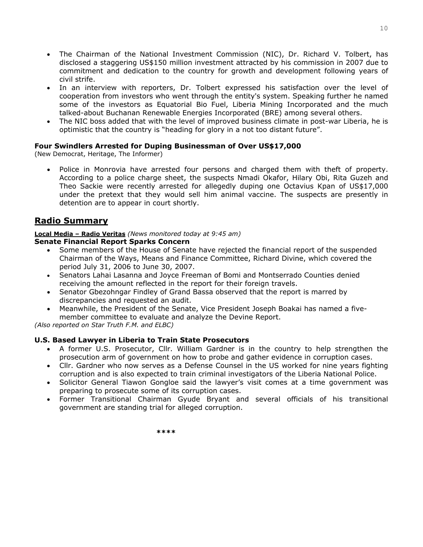- The Chairman of the National Investment Commission (NIC), Dr. Richard V. Tolbert, has disclosed a staggering US\$150 million investment attracted by his commission in 2007 due to commitment and dedication to the country for growth and development following years of civil strife.
- In an interview with reporters, Dr. Tolbert expressed his satisfaction over the level of cooperation from investors who went through the entity's system. Speaking further he named some of the investors as Equatorial Bio Fuel, Liberia Mining Incorporated and the much talked-about Buchanan Renewable Energies Incorporated (BRE) among several others.
- The NIC boss added that with the level of improved business climate in post-war Liberia, he is optimistic that the country is "heading for glory in a not too distant future".

#### **Four Swindlers Arrested for Duping Businessman of Over US\$17,000**

(New Democrat, Heritage, The Informer)

• Police in Monrovia have arrested four persons and charged them with theft of property. According to a police charge sheet, the suspects Nmadi Okafor, Hilary Obi, Rita Guzeh and Theo Sackie were recently arrested for allegedly duping one Octavius Kpan of US\$17,000 under the pretext that they would sell him animal vaccine. The suspects are presently in detention are to appear in court shortly.

### **Radio Summary**

#### **Local Media – Radio Veritas** *(News monitored today at 9:45 am)* **Senate Financial Report Sparks Concern**

- Some members of the House of Senate have rejected the financial report of the suspended Chairman of the Ways, Means and Finance Committee, Richard Divine, which covered the period July 31, 2006 to June 30, 2007.
- Senators Lahai Lasanna and Joyce Freeman of Bomi and Montserrado Counties denied receiving the amount reflected in the report for their foreign travels.
- Senator Gbezohngar Findley of Grand Bassa observed that the report is marred by discrepancies and requested an audit.
- Meanwhile, the President of the Senate, Vice President Joseph Boakai has named a fivemember committee to evaluate and analyze the Devine Report.

*(Also reported on Star Truth F.M. and ELBC)* 

#### **U.S. Based Lawyer in Liberia to Train State Prosecutors**

- A former U.S. Prosecutor, Cllr. William Gardner is in the country to help strengthen the prosecution arm of government on how to probe and gather evidence in corruption cases.
- Cllr. Gardner who now serves as a Defense Counsel in the US worked for nine years fighting corruption and is also expected to train criminal investigators of the Liberia National Police.
- Solicitor General Tiawon Gongloe said the lawyer's visit comes at a time government was preparing to prosecute some of its corruption cases.
- Former Transitional Chairman Gyude Bryant and several officials of his transitional government are standing trial for alleged corruption.

**\*\*\*\***